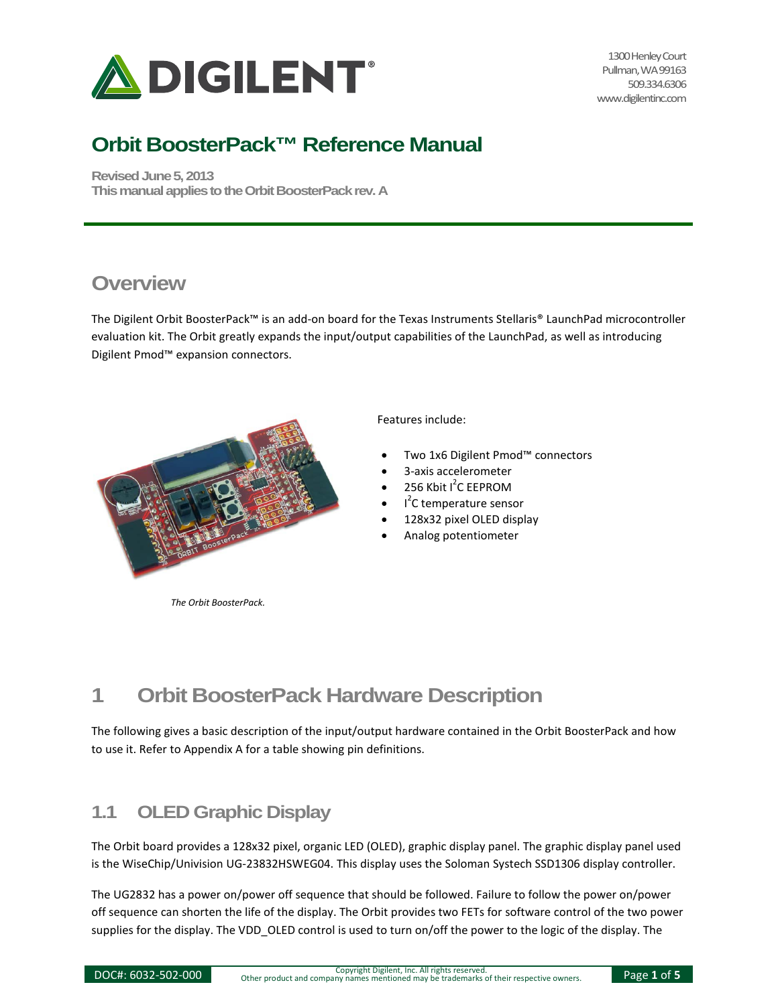

1300 Henley Court Pullman, WA 99163 509.334.6306 www.digilentinc.com

## **Orbit BoosterPack™ Reference Manual**

**Revised June 5, 2013 This manual applies to the Orbit BoosterPack rev. A**

### **Overview**

The Digilent Orbit BoosterPack™ is an add-on board for the Texas Instruments Stellaris® LaunchPad microcontroller evaluation kit. The Orbit greatly expands the input/output capabilities of the LaunchPad, as well as introducing Digilent Pmod™ expansion connectors.



*The Orbit BoosterPack.* 

Features include:

- Two 1x6 Digilent Pmod™ connectors
- 3-axis accelerometer
- $\bullet$  256 Kbit I<sup>2</sup>C EEPROM
- I<sup>2</sup>C temperature sensor
- 128x32 pixel OLED display
- Analog potentiometer

# **1 Orbit BoosterPack Hardware Description**

The following gives a basic description of the input/output hardware contained in the Orbit BoosterPack and how to use it. Refer to Appendix A for a table showing pin definitions.

### **1.1 OLED Graphic Display**

The Orbit board provides a 128x32 pixel, organic LED (OLED), graphic display panel. The graphic display panel used is the WiseChip/Univision UG-23832HSWEG04. This display uses the Soloman Systech SSD1306 display controller.

The UG2832 has a power on/power off sequence that should be followed. Failure to follow the power on/power off sequence can shorten the life of the display. The Orbit provides two FETs for software control of the two power supplies for the display. The VDD OLED control is used to turn on/off the power to the logic of the display. The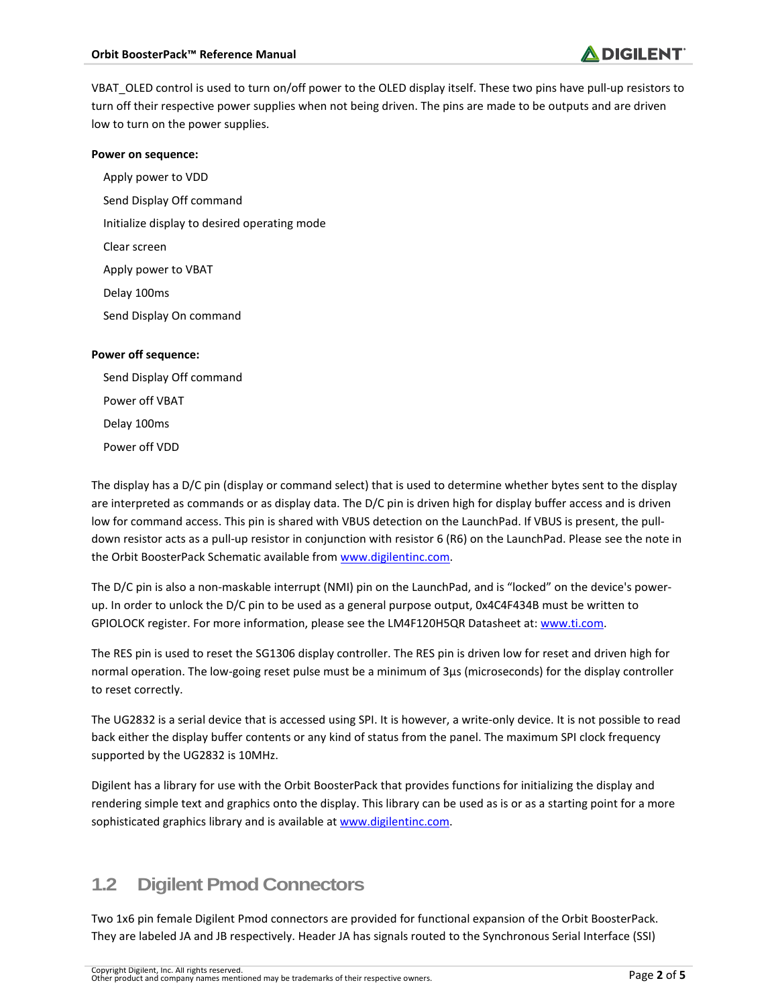VBAT\_OLED control is used to turn on/off power to the OLED display itself. These two pins have pull-up resistors to turn off their respective power supplies when not being driven. The pins are made to be outputs and are driven low to turn on the power supplies.

#### **Power on sequence:**

Apply power to VDD Send Display Off command Initialize display to desired operating mode Clear screen Apply power to VBAT Delay 100ms Send Display On command

#### **Power off sequence:**

Send Display Off command Power off VBAT Delay 100ms Power off VDD

The display has a D/C pin (display or command select) that is used to determine whether bytes sent to the display are interpreted as commands or as display data. The D/C pin is driven high for display buffer access and is driven low for command access. This pin is shared with VBUS detection on the LaunchPad. If VBUS is present, the pulldown resistor acts as a pull-up resistor in conjunction with resistor 6 (R6) on the LaunchPad. Please see the note in the Orbit BoosterPack Schematic available from www.digilentinc.com.

The D/C pin is also a non-maskable interrupt (NMI) pin on the LaunchPad, and is "locked" on the device's powerup. In order to unlock the D/C pin to be used as a general purpose output, 0x4C4F434B must be written to GPIOLOCK register. For more information, please see the LM4F120H5QR Datasheet at[: www.ti.com.](http://www.ti.com/)

The RES pin is used to reset the SG1306 display controller. The RES pin is driven low for reset and driven high for normal operation. The low-going reset pulse must be a minimum of 3μs (microseconds) for the display controller to reset correctly.

The UG2832 is a serial device that is accessed using SPI. It is however, a write-only device. It is not possible to read back either the display buffer contents or any kind of status from the panel. The maximum SPI clock frequency supported by the UG2832 is 10MHz.

Digilent has a library for use with the Orbit BoosterPack that provides functions for initializing the display and rendering simple text and graphics onto the display. This library can be used as is or as a starting point for a more sophisticated graphics library and is available a[t www.digilentinc.com.](http://www.digilentinc.com/)

### **1.2 Digilent Pmod Connectors**

Two 1x6 pin female Digilent Pmod connectors are provided for functional expansion of the Orbit BoosterPack. They are labeled JA and JB respectively. Header JA has signals routed to the Synchronous Serial Interface (SSI)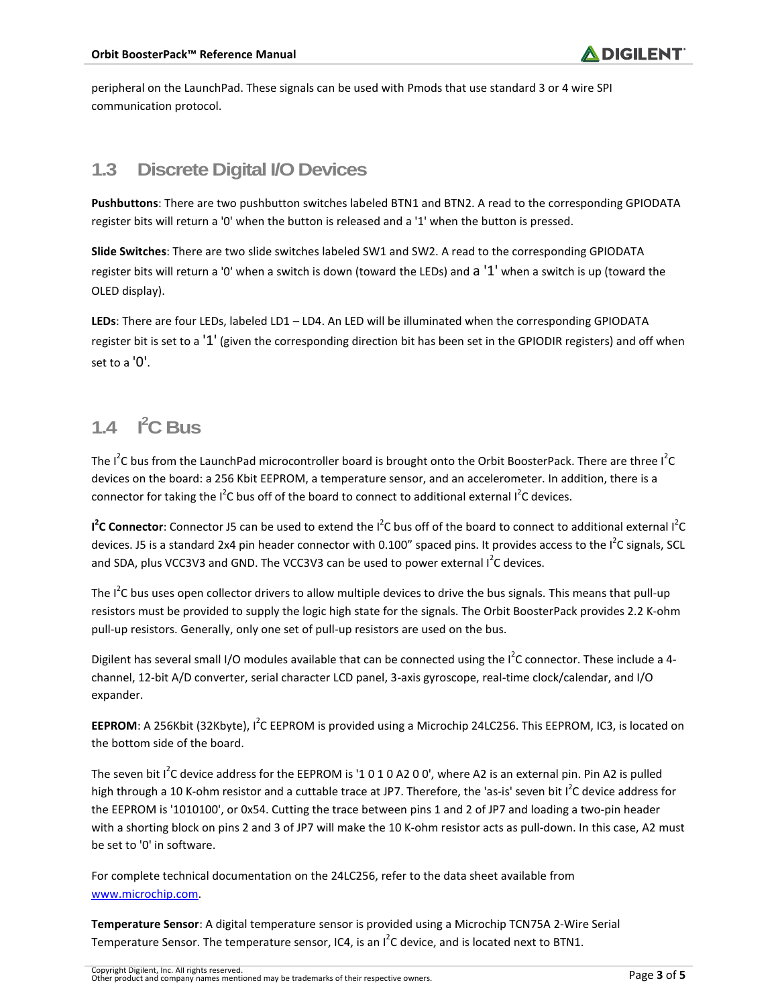peripheral on the LaunchPad. These signals can be used with Pmods that use standard 3 or 4 wire SPI communication protocol.

#### **1.3 Discrete Digital I/O Devices**

**Pushbuttons**: There are two pushbutton switches labeled BTN1 and BTN2. A read to the corresponding GPIODATA register bits will return a '0' when the button is released and a '1' when the button is pressed.

**Slide Switches**: There are two slide switches labeled SW1 and SW2. A read to the corresponding GPIODATA register bits will return a '0' when a switch is down (toward the LEDs) and a '1' when a switch is up (toward the OLED display).

**LEDs**: There are four LEDs, labeled LD1 – LD4. An LED will be illuminated when the corresponding GPIODATA register bit is set to a '1' (given the corresponding direction bit has been set in the GPIODIR registers) and off when set to a '0'.

## **1.4 I 2 C Bus**

The I<sup>2</sup>C bus from the LaunchPad microcontroller board is brought onto the Orbit BoosterPack. There are three I<sup>2</sup>C devices on the board: a 256 Kbit EEPROM, a temperature sensor, and an accelerometer. In addition, there is a connector for taking the  $I^2C$  bus off of the board to connect to additional external  $I^2C$  devices.

I<sup>2</sup>C Connector: Connector J5 can be used to extend the I<sup>2</sup>C bus off of the board to connect to additional external I<sup>2</sup>C devices. J5 is a standard 2x4 pin header connector with 0.100" spaced pins. It provides access to the I<sup>2</sup>C signals, SCL and SDA, plus VCC3V3 and GND. The VCC3V3 can be used to power external I<sup>2</sup>C devices.

The I<sup>2</sup>C bus uses open collector drivers to allow multiple devices to drive the bus signals. This means that pull-up resistors must be provided to supply the logic high state for the signals. The Orbit BoosterPack provides 2.2 K-ohm pull-up resistors. Generally, only one set of pull-up resistors are used on the bus.

Digilent has several small I/O modules available that can be connected using the  $I^2C$  connector. These include a 4channel, 12-bit A/D converter, serial character LCD panel, 3-axis gyroscope, real-time clock/calendar, and I/O expander.

**EEPROM**: A 256Kbit (32Kbyte), I<sup>2</sup>C EEPROM is provided using a Microchip 24LC256. This EEPROM, IC3, is located on the bottom side of the board.

The seven bit  $I^2C$  device address for the EEPROM is '1 0 1 0 A2 0 0', where A2 is an external pin. Pin A2 is pulled high through a 10 K-ohm resistor and a cuttable trace at JP7. Therefore, the 'as-is' seven bit I<sup>2</sup>C device address for the EEPROM is '1010100', or 0x54. Cutting the trace between pins 1 and 2 of JP7 and loading a two-pin header with a shorting block on pins 2 and 3 of JP7 will make the 10 K-ohm resistor acts as pull-down. In this case, A2 must be set to '0' in software.

For complete technical documentation on the 24LC256, refer to the data sheet available from [www.microchip.com.](http://www.microchip.com/)

**Temperature Sensor**: A digital temperature sensor is provided using a Microchip TCN75A 2-Wire Serial Temperature Sensor. The temperature sensor, IC4, is an  $I^2C$  device, and is located next to BTN1.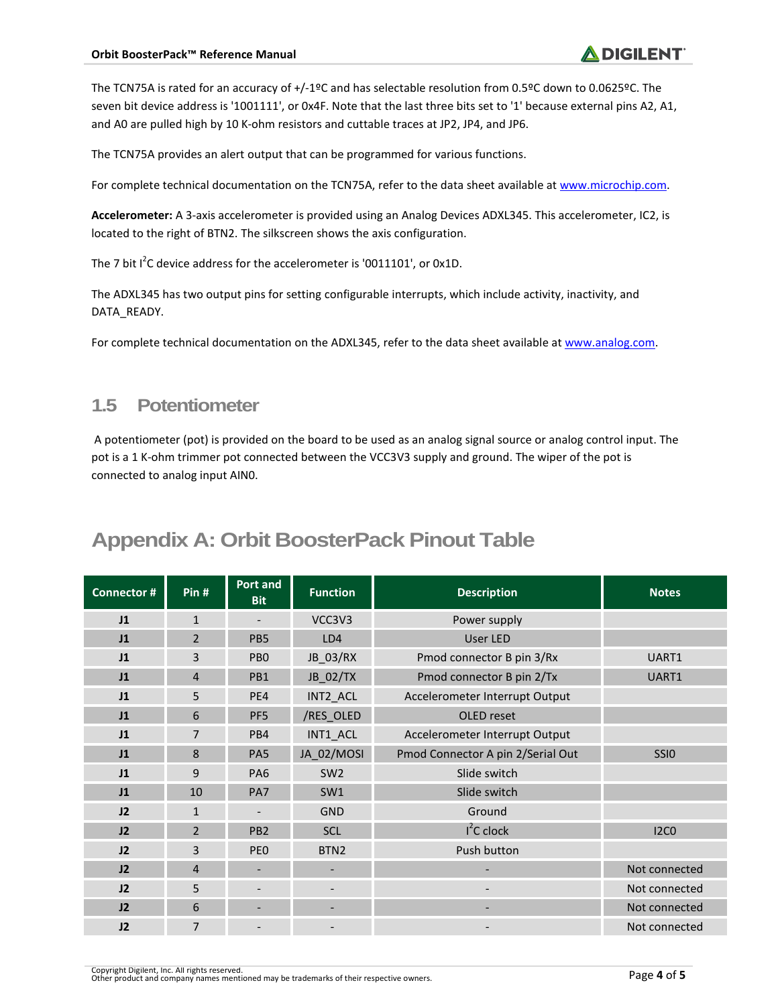The TCN75A is rated for an accuracy of +/-1ºC and has selectable resolution from 0.5ºC down to 0.0625ºC. The seven bit device address is '1001111', or 0x4F. Note that the last three bits set to '1' because external pins A2, A1, and A0 are pulled high by 10 K-ohm resistors and cuttable traces at JP2, JP4, and JP6.

The TCN75A provides an alert output that can be programmed for various functions.

For complete technical documentation on the TCN75A, refer to the data sheet available a[t www.microchip.com.](http://www.microchip.com/)

**Accelerometer:** A 3-axis accelerometer is provided using an Analog Devices ADXL345. This accelerometer, IC2, is located to the right of BTN2. The silkscreen shows the axis configuration.

The 7 bit  $I^2C$  device address for the accelerometer is '0011101', or 0x1D.

The ADXL345 has two output pins for setting configurable interrupts, which include activity, inactivity, and DATA\_READY.

For complete technical documentation on the ADXL345, refer to the data sheet available a[t www.analog.com.](http://www.analog.com/)

#### **1.5 Potentiometer**

A potentiometer (pot) is provided on the board to be used as an analog signal source or analog control input. The pot is a 1 K-ohm trimmer pot connected between the VCC3V3 supply and ground. The wiper of the pot is connected to analog input AIN0.

## **Appendix A: Orbit BoosterPack Pinout Table**

| <b>Connector#</b> | Pin#           | <b>Port and</b><br><b>Bit</b> | <b>Function</b>  | <b>Description</b>                | <b>Notes</b>     |
|-------------------|----------------|-------------------------------|------------------|-----------------------------------|------------------|
| J1                | $\mathbf{1}$   |                               | VCC3V3           | Power supply                      |                  |
| J1                | $\overline{2}$ | PB5                           | LD4              | <b>User LED</b>                   |                  |
| J1                | 3              | PB <sub>0</sub>               | JB_03/RX         | Pmod connector B pin 3/Rx         | UART1            |
| J1                | $\overline{4}$ | PB1                           | JB_02/TX         | Pmod connector B pin 2/Tx         | UART1            |
| J1                | 5              | PE4                           | INT2_ACL         | Accelerometer Interrupt Output    |                  |
| J1                | 6              | PF <sub>5</sub>               | /RES_OLED        | OLED reset                        |                  |
| J1                | $\overline{7}$ | PB4                           | INT1_ACL         | Accelerometer Interrupt Output    |                  |
| J1                | 8              | PA5                           | JA_02/MOSI       | Pmod Connector A pin 2/Serial Out | SSI <sub>0</sub> |
| J1                | 9              | PA <sub>6</sub>               | SW <sub>2</sub>  | Slide switch                      |                  |
| J1                | 10             | PA7                           | SW1              | Slide switch                      |                  |
| J2                | $\mathbf{1}$   |                               | <b>GND</b>       | Ground                            |                  |
| J2                | $\overline{2}$ | PB <sub>2</sub>               | <b>SCL</b>       | $I^2C$ clock                      | <b>I2CO</b>      |
| 12                | 3              | <b>PEO</b>                    | BTN <sub>2</sub> | Push button                       |                  |
| J2                | $\overline{4}$ |                               |                  |                                   | Not connected    |
| J2                | 5              |                               |                  |                                   | Not connected    |
| 12                | 6              |                               |                  |                                   | Not connected    |
| J2                | $\overline{7}$ |                               |                  |                                   | Not connected    |